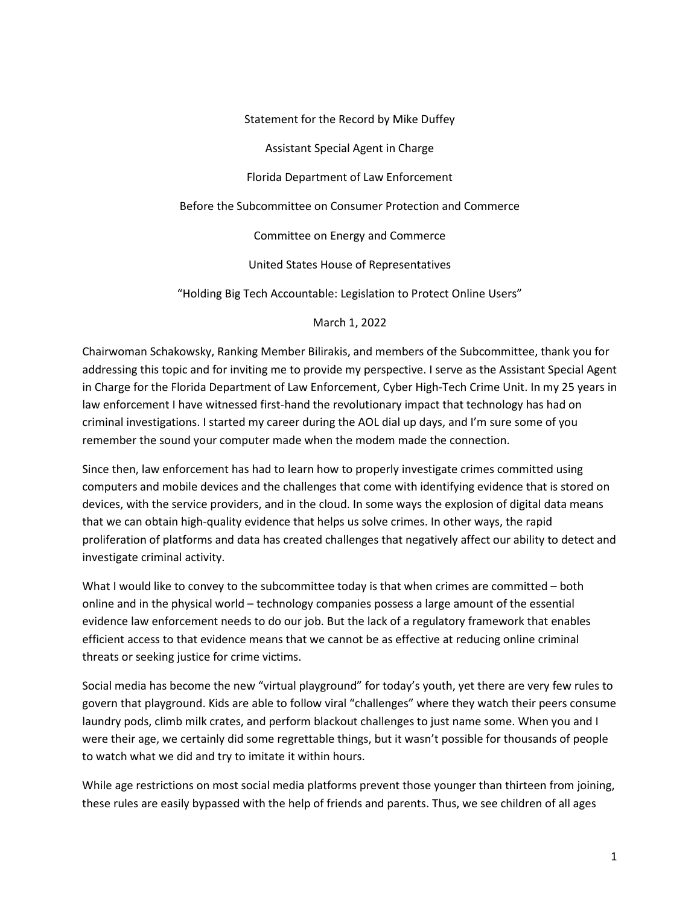Statement for the Record by Mike Duffey

Assistant Special Agent in Charge

Florida Department of Law Enforcement

Before the Subcommittee on Consumer Protection and Commerce

Committee on Energy and Commerce

United States House of Representatives

"Holding Big Tech Accountable: Legislation to Protect Online Users"

March 1, 2022

Chairwoman Schakowsky, Ranking Member Bilirakis, and members of the Subcommittee, thank you for addressing this topic and for inviting me to provide my perspective. I serve as the Assistant Special Agent in Charge for the Florida Department of Law Enforcement, Cyber High-Tech Crime Unit. In my 25 years in law enforcement I have witnessed first-hand the revolutionary impact that technology has had on criminal investigations. I started my career during the AOL dial up days, and I'm sure some of you remember the sound your computer made when the modem made the connection.

Since then, law enforcement has had to learn how to properly investigate crimes committed using computers and mobile devices and the challenges that come with identifying evidence that is stored on devices, with the service providers, and in the cloud. In some ways the explosion of digital data means that we can obtain high-quality evidence that helps us solve crimes. In other ways, the rapid proliferation of platforms and data has created challenges that negatively affect our ability to detect and investigate criminal activity.

What I would like to convey to the subcommittee today is that when crimes are committed – both online and in the physical world – technology companies possess a large amount of the essential evidence law enforcement needs to do our job. But the lack of a regulatory framework that enables efficient access to that evidence means that we cannot be as effective at reducing online criminal threats or seeking justice for crime victims.

Social media has become the new "virtual playground" for today's youth, yet there are very few rules to govern that playground. Kids are able to follow viral "challenges" where they watch their peers consume laundry pods, climb milk crates, and perform blackout challenges to just name some. When you and I were their age, we certainly did some regrettable things, but it wasn't possible for thousands of people to watch what we did and try to imitate it within hours.

While age restrictions on most social media platforms prevent those younger than thirteen from joining, these rules are easily bypassed with the help of friends and parents. Thus, we see children of all ages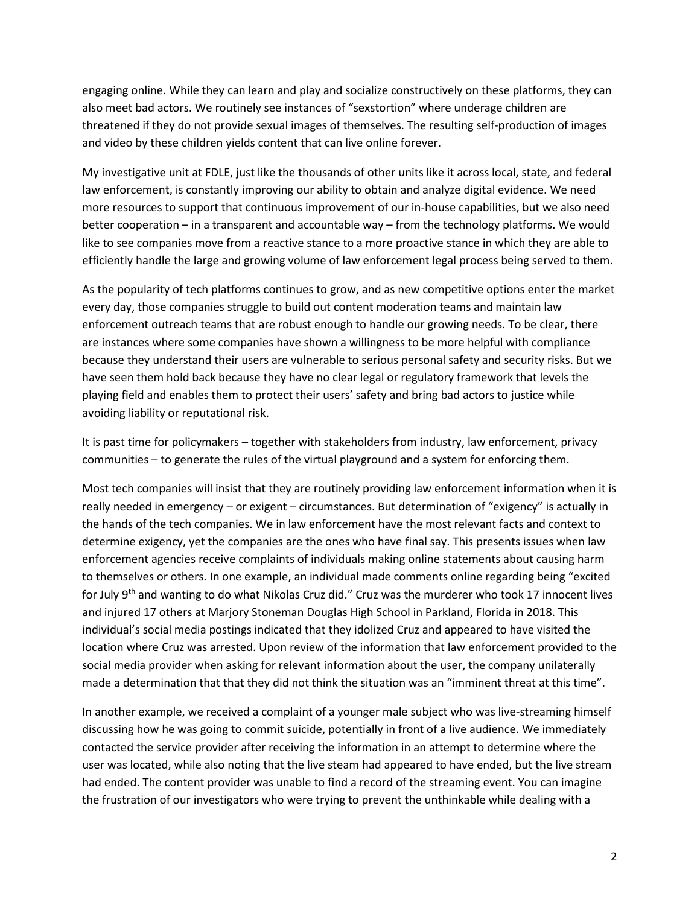engaging online. While they can learn and play and socialize constructively on these platforms, they can also meet bad actors. We routinely see instances of "sexstortion" where underage children are threatened if they do not provide sexual images of themselves. The resulting self-production of images and video by these children yields content that can live online forever.

My investigative unit at FDLE, just like the thousands of other units like it across local, state, and federal law enforcement, is constantly improving our ability to obtain and analyze digital evidence. We need more resources to support that continuous improvement of our in-house capabilities, but we also need better cooperation – in a transparent and accountable way – from the technology platforms. We would like to see companies move from a reactive stance to a more proactive stance in which they are able to efficiently handle the large and growing volume of law enforcement legal process being served to them.

As the popularity of tech platforms continues to grow, and as new competitive options enter the market every day, those companies struggle to build out content moderation teams and maintain law enforcement outreach teams that are robust enough to handle our growing needs. To be clear, there are instances where some companies have shown a willingness to be more helpful with compliance because they understand their users are vulnerable to serious personal safety and security risks. But we have seen them hold back because they have no clear legal or regulatory framework that levels the playing field and enables them to protect their users' safety and bring bad actors to justice while avoiding liability or reputational risk.

It is past time for policymakers – together with stakeholders from industry, law enforcement, privacy communities – to generate the rules of the virtual playground and a system for enforcing them.

Most tech companies will insist that they are routinely providing law enforcement information when it is really needed in emergency – or exigent – circumstances. But determination of "exigency" is actually in the hands of the tech companies. We in law enforcement have the most relevant facts and context to determine exigency, yet the companies are the ones who have final say. This presents issues when law enforcement agencies receive complaints of individuals making online statements about causing harm to themselves or others. In one example, an individual made comments online regarding being "excited for July 9th and wanting to do what Nikolas Cruz did." Cruz was the murderer who took 17 innocent lives and injured 17 others at Marjory Stoneman Douglas High School in Parkland, Florida in 2018. This individual's social media postings indicated that they idolized Cruz and appeared to have visited the location where Cruz was arrested. Upon review of the information that law enforcement provided to the social media provider when asking for relevant information about the user, the company unilaterally made a determination that that they did not think the situation was an "imminent threat at this time".

In another example, we received a complaint of a younger male subject who was live-streaming himself discussing how he was going to commit suicide, potentially in front of a live audience. We immediately contacted the service provider after receiving the information in an attempt to determine where the user was located, while also noting that the live steam had appeared to have ended, but the live stream had ended. The content provider was unable to find a record of the streaming event. You can imagine the frustration of our investigators who were trying to prevent the unthinkable while dealing with a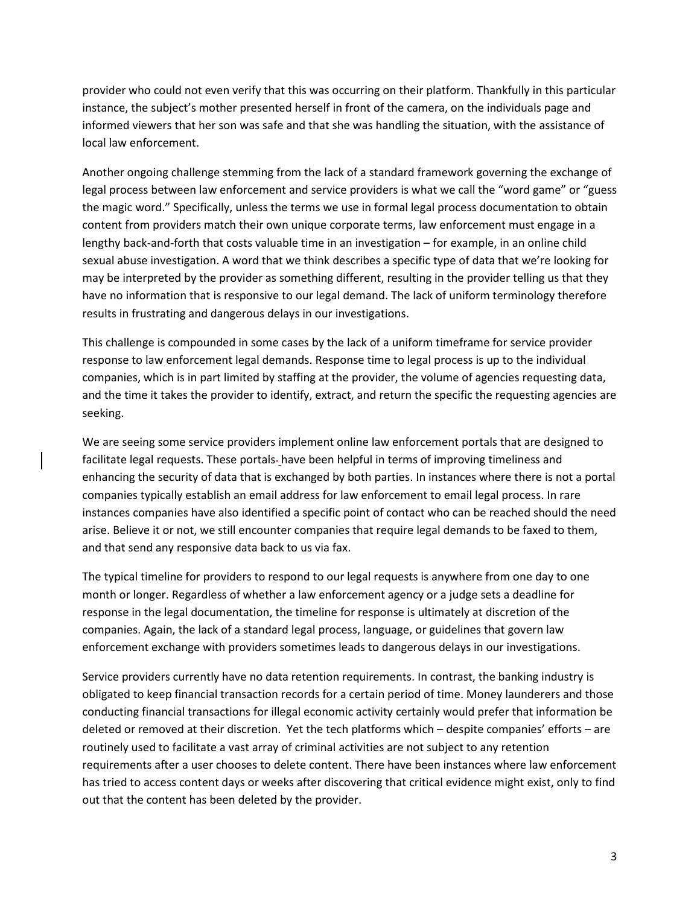provider who could not even verify that this was occurring on their platform. Thankfully in this particular instance, the subject's mother presented herself in front of the camera, on the individuals page and informed viewers that her son was safe and that she was handling the situation, with the assistance of local law enforcement.

Another ongoing challenge stemming from the lack of a standard framework governing the exchange of legal process between law enforcement and service providers is what we call the "word game" or "guess the magic word." Specifically, unless the terms we use in formal legal process documentation to obtain content from providers match their own unique corporate terms, law enforcement must engage in a lengthy back-and-forth that costs valuable time in an investigation – for example, in an online child sexual abuse investigation. A word that we think describes a specific type of data that we're looking for may be interpreted by the provider as something different, resulting in the provider telling us that they have no information that is responsive to our legal demand. The lack of uniform terminology therefore results in frustrating and dangerous delays in our investigations.

This challenge is compounded in some cases by the lack of a uniform timeframe for service provider response to law enforcement legal demands. Response time to legal process is up to the individual companies, which is in part limited by staffing at the provider, the volume of agencies requesting data, and the time it takes the provider to identify, extract, and return the specific the requesting agencies are seeking.

We are seeing some service providers implement online law enforcement portals that are designed to facilitate legal requests. These portals-have been helpful in terms of improving timeliness and enhancing the security of data that is exchanged by both parties. In instances where there is not a portal companies typically establish an email address for law enforcement to email legal process. In rare instances companies have also identified a specific point of contact who can be reached should the need arise. Believe it or not, we still encounter companies that require legal demands to be faxed to them, and that send any responsive data back to us via fax.

The typical timeline for providers to respond to our legal requests is anywhere from one day to one month or longer. Regardless of whether a law enforcement agency or a judge sets a deadline for response in the legal documentation, the timeline for response is ultimately at discretion of the companies. Again, the lack of a standard legal process, language, or guidelines that govern law enforcement exchange with providers sometimes leads to dangerous delays in our investigations.

Service providers currently have no data retention requirements. In contrast, the banking industry is obligated to keep financial transaction records for a certain period of time. Money launderers and those conducting financial transactions for illegal economic activity certainly would prefer that information be deleted or removed at their discretion. Yet the tech platforms which – despite companies' efforts – are routinely used to facilitate a vast array of criminal activities are not subject to any retention requirements after a user chooses to delete content. There have been instances where law enforcement has tried to access content days or weeks after discovering that critical evidence might exist, only to find out that the content has been deleted by the provider.